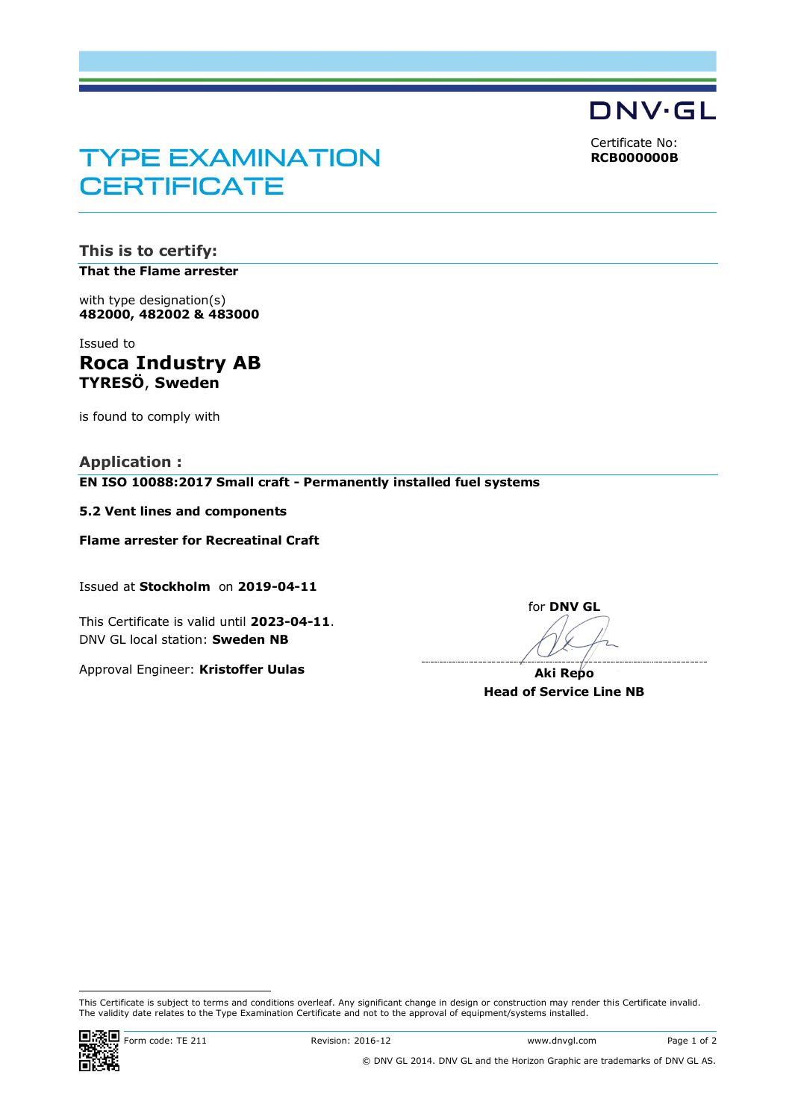Certificate No: **RCB000000B**

**DNV·GL** 

# **TYPE EXAMINATION CERTIFICATE**

**This is to certify: That the Flame arrester**

with type designation(s) **482000, 482002 & 483000**

Issued to **Roca Industry AB TYRESÖ**, **Sweden**

is found to comply with

**Application : EN ISO 10088:2017 Small craft - Permanently installed fuel systems**

**5.2 Vent lines and components**

**Flame arrester for Recreatinal Craft**

Issued at **Stockholm** on **2019-04-11**

This Certificate is valid until **2023-04-11**. DNV GL local station: **Sweden NB**

Approval Engineer: **Kristoffer Uulas**

for **DNV GL** Ì

**Aki Repo Head of Service Line NB**

 $\overline{a}$ 

This Certificate is subject to terms and conditions overleaf. Any significant change in design or construction may render this Certificate invalid. The validity date relates to the Type Examination Certificate and not to the approval of equipment/systems installed.